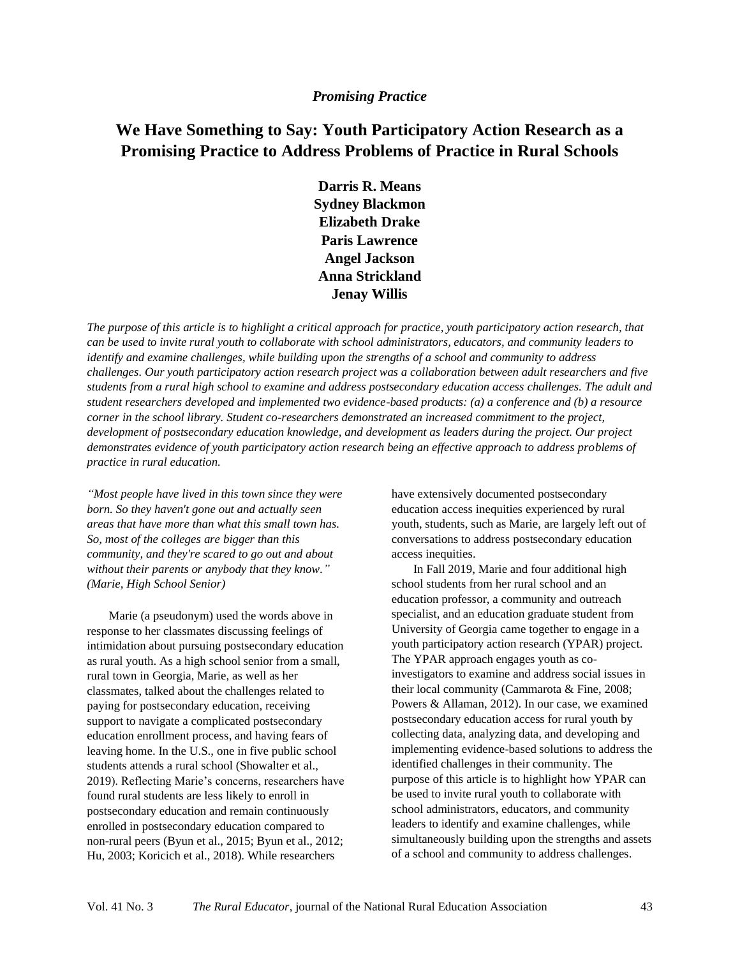## *Promising Practice*

# **We Have Something to Say: Youth Participatory Action Research as a Promising Practice to Address Problems of Practice in Rural Schools**

**Darris R. Means Sydney Blackmon Elizabeth Drake Paris Lawrence Angel Jackson Anna Strickland Jenay Willis**

*The purpose of this article is to highlight a critical approach for practice, youth participatory action research, that can be used to invite rural youth to collaborate with school administrators, educators, and community leaders to identify and examine challenges, while building upon the strengths of a school and community to address challenges. Our youth participatory action research project was a collaboration between adult researchers and five students from a rural high school to examine and address postsecondary education access challenges. The adult and student researchers developed and implemented two evidence-based products: (a) a conference and (b) a resource corner in the school library. Student co-researchers demonstrated an increased commitment to the project, development of postsecondary education knowledge, and development as leaders during the project. Our project demonstrates evidence of youth participatory action research being an effective approach to address problems of practice in rural education.*

*"Most people have lived in this town since they were born. So they haven't gone out and actually seen areas that have more than what this small town has. So, most of the colleges are bigger than this community, and they're scared to go out and about without their parents or anybody that they know." (Marie, High School Senior)*

Marie (a pseudonym) used the words above in response to her classmates discussing feelings of intimidation about pursuing postsecondary education as rural youth. As a high school senior from a small, rural town in Georgia, Marie, as well as her classmates, talked about the challenges related to paying for postsecondary education, receiving support to navigate a complicated postsecondary education enrollment process, and having fears of leaving home. In the U.S., one in five public school students attends a rural school (Showalter et al., 2019). Reflecting Marie's concerns, researchers have found rural students are less likely to enroll in postsecondary education and remain continuously enrolled in postsecondary education compared to non-rural peers (Byun et al., 2015; Byun et al., 2012; Hu, 2003; Koricich et al., 2018). While researchers

have extensively documented postsecondary education access inequities experienced by rural youth, students, such as Marie, are largely left out of conversations to address postsecondary education access inequities.

In Fall 2019, Marie and four additional high school students from her rural school and an education professor, a community and outreach specialist, and an education graduate student from University of Georgia came together to engage in a youth participatory action research (YPAR) project. The YPAR approach engages youth as coinvestigators to examine and address social issues in their local community (Cammarota & Fine, 2008; Powers & Allaman, 2012). In our case, we examined postsecondary education access for rural youth by collecting data, analyzing data, and developing and implementing evidence-based solutions to address the identified challenges in their community. The purpose of this article is to highlight how YPAR can be used to invite rural youth to collaborate with school administrators, educators, and community leaders to identify and examine challenges, while simultaneously building upon the strengths and assets of a school and community to address challenges.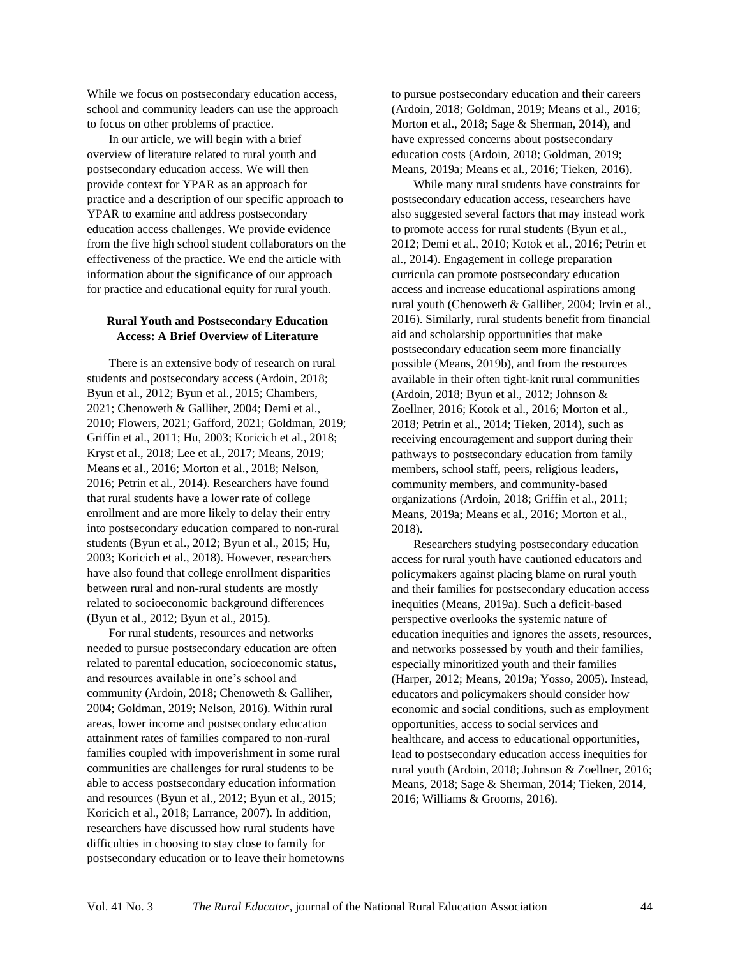While we focus on postsecondary education access, school and community leaders can use the approach to focus on other problems of practice.

In our article, we will begin with a brief overview of literature related to rural youth and postsecondary education access. We will then provide context for YPAR as an approach for practice and a description of our specific approach to YPAR to examine and address postsecondary education access challenges. We provide evidence from the five high school student collaborators on the effectiveness of the practice. We end the article with information about the significance of our approach for practice and educational equity for rural youth.

### **Rural Youth and Postsecondary Education Access: A Brief Overview of Literature**

There is an extensive body of research on rural students and postsecondary access (Ardoin, 2018; Byun et al., 2012; Byun et al., 2015; Chambers, 2021; Chenoweth & Galliher, 2004; Demi et al., 2010; Flowers, 2021; Gafford, 2021; Goldman, 2019; Griffin et al., 2011; Hu, 2003; Koricich et al., 2018; Kryst et al., 2018; Lee et al., 2017; Means, 2019; Means et al., 2016; Morton et al., 2018; Nelson, 2016; Petrin et al., 2014). Researchers have found that rural students have a lower rate of college enrollment and are more likely to delay their entry into postsecondary education compared to non-rural students (Byun et al., 2012; Byun et al., 2015; Hu, 2003; Koricich et al., 2018). However, researchers have also found that college enrollment disparities between rural and non-rural students are mostly related to socioeconomic background differences (Byun et al., 2012; Byun et al., 2015).

For rural students, resources and networks needed to pursue postsecondary education are often related to parental education, socioeconomic status, and resources available in one's school and community (Ardoin, 2018; Chenoweth & Galliher, 2004; Goldman, 2019; Nelson, 2016). Within rural areas, lower income and postsecondary education attainment rates of families compared to non-rural families coupled with impoverishment in some rural communities are challenges for rural students to be able to access postsecondary education information and resources (Byun et al., 2012; Byun et al., 2015; Koricich et al., 2018; Larrance, 2007). In addition, researchers have discussed how rural students have difficulties in choosing to stay close to family for postsecondary education or to leave their hometowns to pursue postsecondary education and their careers (Ardoin, 2018; Goldman, 2019; Means et al., 2016; Morton et al., 2018; Sage & Sherman, 2014), and have expressed concerns about postsecondary education costs (Ardoin, 2018; Goldman, 2019; Means, 2019a; Means et al., 2016; Tieken, 2016).

While many rural students have constraints for postsecondary education access, researchers have also suggested several factors that may instead work to promote access for rural students (Byun et al., 2012; Demi et al., 2010; Kotok et al., 2016; Petrin et al., 2014). Engagement in college preparation curricula can promote postsecondary education access and increase educational aspirations among rural youth (Chenoweth & Galliher, 2004; Irvin et al., 2016). Similarly, rural students benefit from financial aid and scholarship opportunities that make postsecondary education seem more financially possible (Means, 2019b), and from the resources available in their often tight-knit rural communities (Ardoin, 2018; Byun et al., 2012; Johnson & Zoellner, 2016; Kotok et al., 2016; Morton et al., 2018; Petrin et al., 2014; Tieken, 2014), such as receiving encouragement and support during their pathways to postsecondary education from family members, school staff, peers, religious leaders, community members, and community-based organizations (Ardoin, 2018; Griffin et al., 2011; Means, 2019a; Means et al., 2016; Morton et al., 2018).

Researchers studying postsecondary education access for rural youth have cautioned educators and policymakers against placing blame on rural youth and their families for postsecondary education access inequities (Means, 2019a). Such a deficit-based perspective overlooks the systemic nature of education inequities and ignores the assets, resources, and networks possessed by youth and their families, especially minoritized youth and their families (Harper, 2012; Means, 2019a; Yosso, 2005). Instead, educators and policymakers should consider how economic and social conditions, such as employment opportunities, access to social services and healthcare, and access to educational opportunities, lead to postsecondary education access inequities for rural youth (Ardoin, 2018; Johnson & Zoellner, 2016; Means, 2018; Sage & Sherman, 2014; Tieken, 2014, 2016; Williams & Grooms, 2016).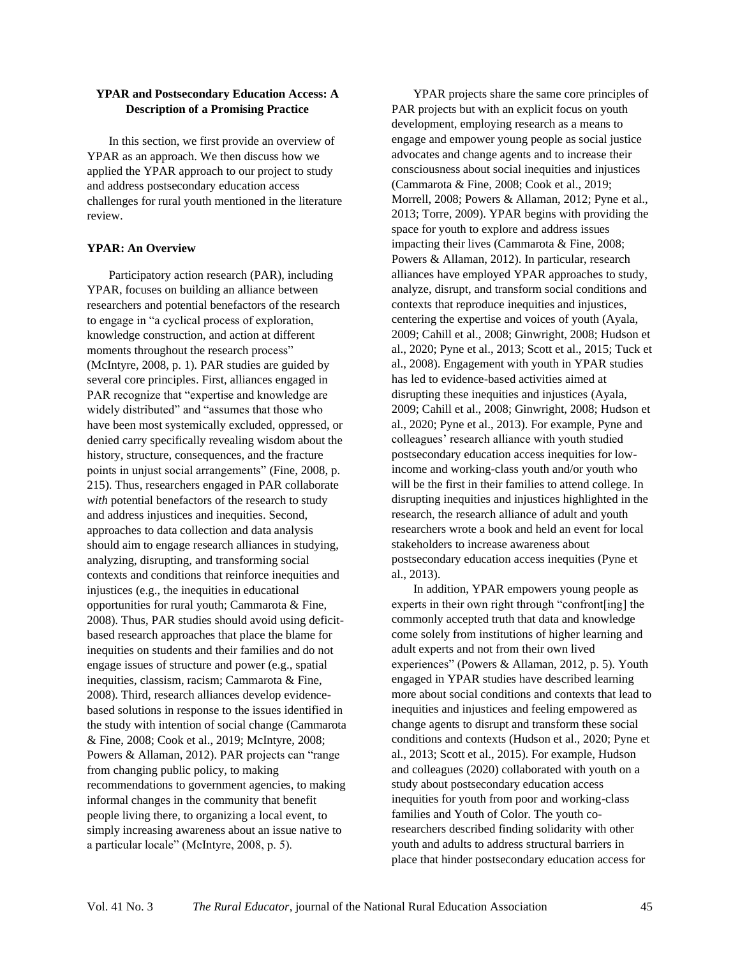## **YPAR and Postsecondary Education Access: A Description of a Promising Practice**

In this section, we first provide an overview of YPAR as an approach. We then discuss how we applied the YPAR approach to our project to study and address postsecondary education access challenges for rural youth mentioned in the literature review.

### **YPAR: An Overview**

Participatory action research (PAR), including YPAR, focuses on building an alliance between researchers and potential benefactors of the research to engage in "a cyclical process of exploration, knowledge construction, and action at different moments throughout the research process" (McIntyre, 2008, p. 1). PAR studies are guided by several core principles. First, alliances engaged in PAR recognize that "expertise and knowledge are widely distributed" and "assumes that those who have been most systemically excluded, oppressed, or denied carry specifically revealing wisdom about the history, structure, consequences, and the fracture points in unjust social arrangements" (Fine, 2008, p. 215). Thus, researchers engaged in PAR collaborate *with* potential benefactors of the research to study and address injustices and inequities. Second, approaches to data collection and data analysis should aim to engage research alliances in studying, analyzing, disrupting, and transforming social contexts and conditions that reinforce inequities and injustices (e.g., the inequities in educational opportunities for rural youth; Cammarota & Fine, 2008). Thus, PAR studies should avoid using deficitbased research approaches that place the blame for inequities on students and their families and do not engage issues of structure and power (e.g., spatial inequities, classism, racism; Cammarota & Fine, 2008). Third, research alliances develop evidencebased solutions in response to the issues identified in the study with intention of social change (Cammarota & Fine, 2008; Cook et al., 2019; McIntyre, 2008; Powers & Allaman, 2012). PAR projects can "range from changing public policy, to making recommendations to government agencies, to making informal changes in the community that benefit people living there, to organizing a local event, to simply increasing awareness about an issue native to a particular locale" (McIntyre, 2008, p. 5).

YPAR projects share the same core principles of PAR projects but with an explicit focus on youth development, employing research as a means to engage and empower young people as social justice advocates and change agents and to increase their consciousness about social inequities and injustices (Cammarota & Fine, 2008; Cook et al., 2019; Morrell, 2008; Powers & Allaman, 2012; Pyne et al., 2013; Torre, 2009). YPAR begins with providing the space for youth to explore and address issues impacting their lives (Cammarota & Fine, 2008; Powers & Allaman, 2012). In particular, research alliances have employed YPAR approaches to study, analyze, disrupt, and transform social conditions and contexts that reproduce inequities and injustices, centering the expertise and voices of youth (Ayala, 2009; Cahill et al., 2008; Ginwright, 2008; Hudson et al., 2020; Pyne et al., 2013; Scott et al., 2015; Tuck et al., 2008). Engagement with youth in YPAR studies has led to evidence-based activities aimed at disrupting these inequities and injustices (Ayala, 2009; Cahill et al., 2008; Ginwright, 2008; Hudson et al., 2020; Pyne et al., 2013). For example, Pyne and colleagues' research alliance with youth studied postsecondary education access inequities for lowincome and working-class youth and/or youth who will be the first in their families to attend college. In disrupting inequities and injustices highlighted in the research, the research alliance of adult and youth researchers wrote a book and held an event for local stakeholders to increase awareness about postsecondary education access inequities (Pyne et al., 2013).

In addition, YPAR empowers young people as experts in their own right through "confront[ing] the commonly accepted truth that data and knowledge come solely from institutions of higher learning and adult experts and not from their own lived experiences" (Powers & Allaman, 2012, p. 5). Youth engaged in YPAR studies have described learning more about social conditions and contexts that lead to inequities and injustices and feeling empowered as change agents to disrupt and transform these social conditions and contexts (Hudson et al., 2020; Pyne et al., 2013; Scott et al., 2015). For example, Hudson and colleagues (2020) collaborated with youth on a study about postsecondary education access inequities for youth from poor and working-class families and Youth of Color. The youth coresearchers described finding solidarity with other youth and adults to address structural barriers in place that hinder postsecondary education access for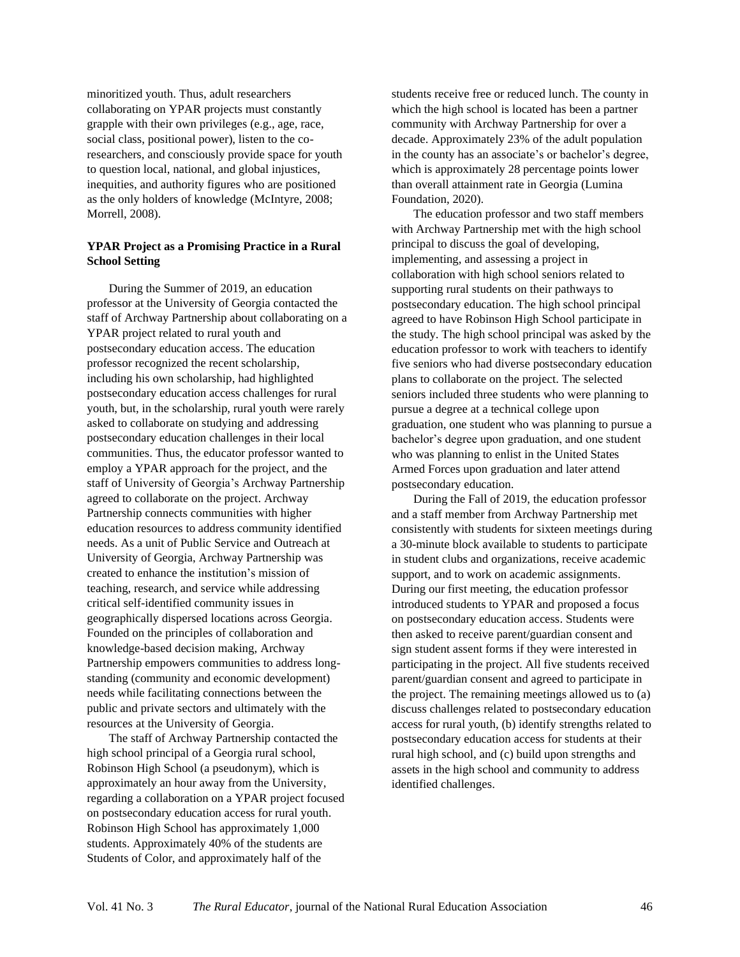minoritized youth. Thus, adult researchers collaborating on YPAR projects must constantly grapple with their own privileges (e.g., age, race, social class, positional power), listen to the coresearchers, and consciously provide space for youth to question local, national, and global injustices, inequities, and authority figures who are positioned as the only holders of knowledge (McIntyre, 2008; Morrell, 2008).

## **YPAR Project as a Promising Practice in a Rural School Setting**

During the Summer of 2019, an education professor at the University of Georgia contacted the staff of Archway Partnership about collaborating on a YPAR project related to rural youth and postsecondary education access. The education professor recognized the recent scholarship, including his own scholarship, had highlighted postsecondary education access challenges for rural youth, but, in the scholarship, rural youth were rarely asked to collaborate on studying and addressing postsecondary education challenges in their local communities. Thus, the educator professor wanted to employ a YPAR approach for the project, and the staff of University of Georgia's Archway Partnership agreed to collaborate on the project. Archway Partnership connects communities with higher education resources to address community identified needs. As a unit of Public Service and Outreach at University of Georgia, Archway Partnership was created to enhance the institution's mission of teaching, research, and service while addressing critical self-identified community issues in geographically dispersed locations across Georgia. Founded on the principles of collaboration and knowledge-based decision making, Archway Partnership empowers communities to address longstanding (community and economic development) needs while facilitating connections between the public and private sectors and ultimately with the resources at the University of Georgia.

The staff of Archway Partnership contacted the high school principal of a Georgia rural school, Robinson High School (a pseudonym), which is approximately an hour away from the University, regarding a collaboration on a YPAR project focused on postsecondary education access for rural youth. Robinson High School has approximately 1,000 students. Approximately 40% of the students are Students of Color, and approximately half of the

students receive free or reduced lunch. The county in which the high school is located has been a partner community with Archway Partnership for over a decade. Approximately 23% of the adult population in the county has an associate's or bachelor's degree, which is approximately 28 percentage points lower than overall attainment rate in Georgia (Lumina Foundation, 2020).

The education professor and two staff members with Archway Partnership met with the high school principal to discuss the goal of developing, implementing, and assessing a project in collaboration with high school seniors related to supporting rural students on their pathways to postsecondary education. The high school principal agreed to have Robinson High School participate in the study. The high school principal was asked by the education professor to work with teachers to identify five seniors who had diverse postsecondary education plans to collaborate on the project. The selected seniors included three students who were planning to pursue a degree at a technical college upon graduation, one student who was planning to pursue a bachelor's degree upon graduation, and one student who was planning to enlist in the United States Armed Forces upon graduation and later attend postsecondary education.

During the Fall of 2019, the education professor and a staff member from Archway Partnership met consistently with students for sixteen meetings during a 30-minute block available to students to participate in student clubs and organizations, receive academic support, and to work on academic assignments. During our first meeting, the education professor introduced students to YPAR and proposed a focus on postsecondary education access. Students were then asked to receive parent/guardian consent and sign student assent forms if they were interested in participating in the project. All five students received parent/guardian consent and agreed to participate in the project. The remaining meetings allowed us to (a) discuss challenges related to postsecondary education access for rural youth, (b) identify strengths related to postsecondary education access for students at their rural high school, and (c) build upon strengths and assets in the high school and community to address identified challenges.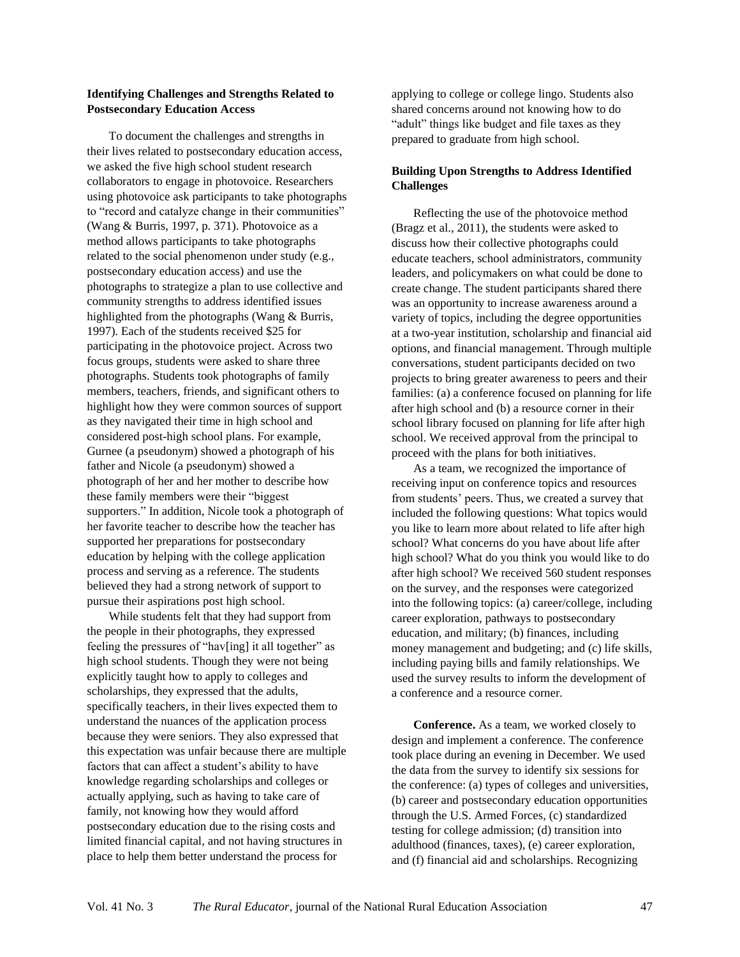### **Identifying Challenges and Strengths Related to Postsecondary Education Access**

To document the challenges and strengths in their lives related to postsecondary education access, we asked the five high school student research collaborators to engage in photovoice. Researchers using photovoice ask participants to take photographs to "record and catalyze change in their communities" (Wang & Burris, 1997, p. 371). Photovoice as a method allows participants to take photographs related to the social phenomenon under study (e.g., postsecondary education access) and use the photographs to strategize a plan to use collective and community strengths to address identified issues highlighted from the photographs (Wang & Burris, 1997). Each of the students received \$25 for participating in the photovoice project. Across two focus groups, students were asked to share three photographs. Students took photographs of family members, teachers, friends, and significant others to highlight how they were common sources of support as they navigated their time in high school and considered post-high school plans. For example, Gurnee (a pseudonym) showed a photograph of his father and Nicole (a pseudonym) showed a photograph of her and her mother to describe how these family members were their "biggest supporters." In addition, Nicole took a photograph of her favorite teacher to describe how the teacher has supported her preparations for postsecondary education by helping with the college application process and serving as a reference. The students believed they had a strong network of support to pursue their aspirations post high school.

While students felt that they had support from the people in their photographs, they expressed feeling the pressures of "hav[ing] it all together" as high school students. Though they were not being explicitly taught how to apply to colleges and scholarships, they expressed that the adults, specifically teachers, in their lives expected them to understand the nuances of the application process because they were seniors. They also expressed that this expectation was unfair because there are multiple factors that can affect a student's ability to have knowledge regarding scholarships and colleges or actually applying, such as having to take care of family, not knowing how they would afford postsecondary education due to the rising costs and limited financial capital, and not having structures in place to help them better understand the process for

applying to college or college lingo. Students also shared concerns around not knowing how to do "adult" things like budget and file taxes as they prepared to graduate from high school.

## **Building Upon Strengths to Address Identified Challenges**

Reflecting the use of the photovoice method (Bragz et al., 2011), the students were asked to discuss how their collective photographs could educate teachers, school administrators, community leaders, and policymakers on what could be done to create change. The student participants shared there was an opportunity to increase awareness around a variety of topics, including the degree opportunities at a two-year institution, scholarship and financial aid options, and financial management. Through multiple conversations, student participants decided on two projects to bring greater awareness to peers and their families: (a) a conference focused on planning for life after high school and (b) a resource corner in their school library focused on planning for life after high school. We received approval from the principal to proceed with the plans for both initiatives.

As a team, we recognized the importance of receiving input on conference topics and resources from students' peers. Thus, we created a survey that included the following questions: What topics would you like to learn more about related to life after high school? What concerns do you have about life after high school? What do you think you would like to do after high school? We received 560 student responses on the survey, and the responses were categorized into the following topics: (a) career/college, including career exploration, pathways to postsecondary education, and military; (b) finances, including money management and budgeting; and (c) life skills, including paying bills and family relationships. We used the survey results to inform the development of a conference and a resource corner.

**Conference.** As a team, we worked closely to design and implement a conference. The conference took place during an evening in December. We used the data from the survey to identify six sessions for the conference: (a) types of colleges and universities, (b) career and postsecondary education opportunities through the U.S. Armed Forces, (c) standardized testing for college admission; (d) transition into adulthood (finances, taxes), (e) career exploration, and (f) financial aid and scholarships. Recognizing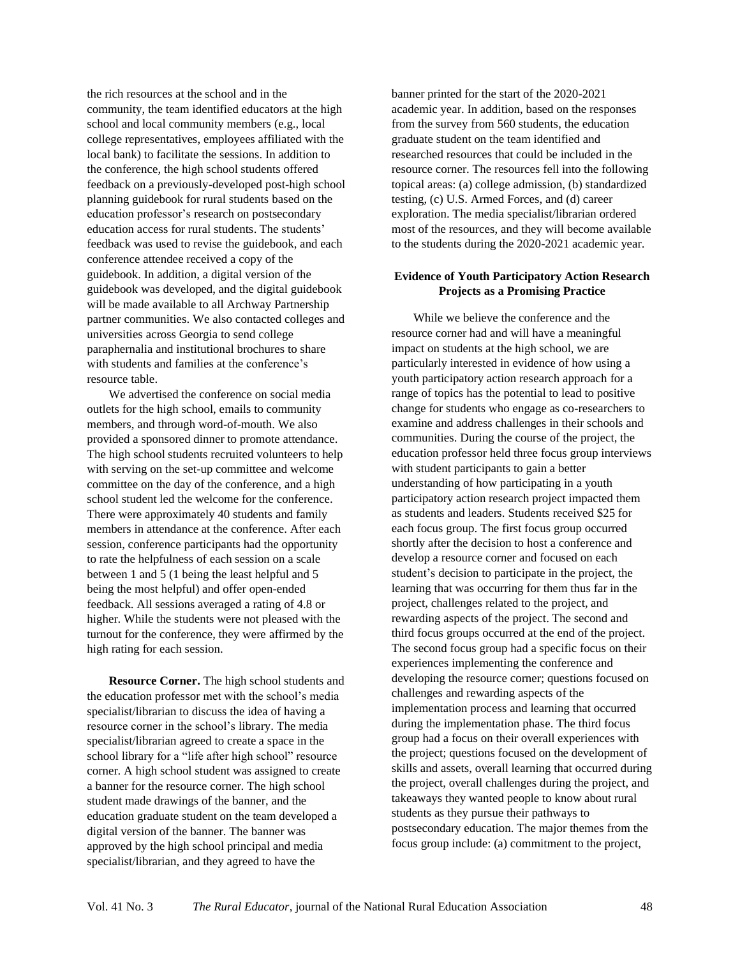the rich resources at the school and in the community, the team identified educators at the high school and local community members (e.g., local college representatives, employees affiliated with the local bank) to facilitate the sessions. In addition to the conference, the high school students offered feedback on a previously-developed post-high school planning guidebook for rural students based on the education professor's research on postsecondary education access for rural students. The students' feedback was used to revise the guidebook, and each conference attendee received a copy of the guidebook. In addition, a digital version of the guidebook was developed, and the digital guidebook will be made available to all Archway Partnership partner communities. We also contacted colleges and universities across Georgia to send college paraphernalia and institutional brochures to share with students and families at the conference's resource table.

We advertised the conference on social media outlets for the high school, emails to community members, and through word-of-mouth. We also provided a sponsored dinner to promote attendance. The high school students recruited volunteers to help with serving on the set-up committee and welcome committee on the day of the conference, and a high school student led the welcome for the conference. There were approximately 40 students and family members in attendance at the conference. After each session, conference participants had the opportunity to rate the helpfulness of each session on a scale between 1 and 5 (1 being the least helpful and 5 being the most helpful) and offer open-ended feedback. All sessions averaged a rating of 4.8 or higher. While the students were not pleased with the turnout for the conference, they were affirmed by the high rating for each session.

**Resource Corner.** The high school students and the education professor met with the school's media specialist/librarian to discuss the idea of having a resource corner in the school's library. The media specialist/librarian agreed to create a space in the school library for a "life after high school" resource corner. A high school student was assigned to create a banner for the resource corner. The high school student made drawings of the banner, and the education graduate student on the team developed a digital version of the banner. The banner was approved by the high school principal and media specialist/librarian, and they agreed to have the

banner printed for the start of the 2020-2021 academic year. In addition, based on the responses from the survey from 560 students, the education graduate student on the team identified and researched resources that could be included in the resource corner. The resources fell into the following topical areas: (a) college admission, (b) standardized testing, (c) U.S. Armed Forces, and (d) career exploration. The media specialist/librarian ordered most of the resources, and they will become available to the students during the 2020-2021 academic year.

### **Evidence of Youth Participatory Action Research Projects as a Promising Practice**

While we believe the conference and the resource corner had and will have a meaningful impact on students at the high school, we are particularly interested in evidence of how using a youth participatory action research approach for a range of topics has the potential to lead to positive change for students who engage as co-researchers to examine and address challenges in their schools and communities. During the course of the project, the education professor held three focus group interviews with student participants to gain a better understanding of how participating in a youth participatory action research project impacted them as students and leaders. Students received \$25 for each focus group. The first focus group occurred shortly after the decision to host a conference and develop a resource corner and focused on each student's decision to participate in the project, the learning that was occurring for them thus far in the project, challenges related to the project, and rewarding aspects of the project. The second and third focus groups occurred at the end of the project. The second focus group had a specific focus on their experiences implementing the conference and developing the resource corner; questions focused on challenges and rewarding aspects of the implementation process and learning that occurred during the implementation phase. The third focus group had a focus on their overall experiences with the project; questions focused on the development of skills and assets, overall learning that occurred during the project, overall challenges during the project, and takeaways they wanted people to know about rural students as they pursue their pathways to postsecondary education. The major themes from the focus group include: (a) commitment to the project,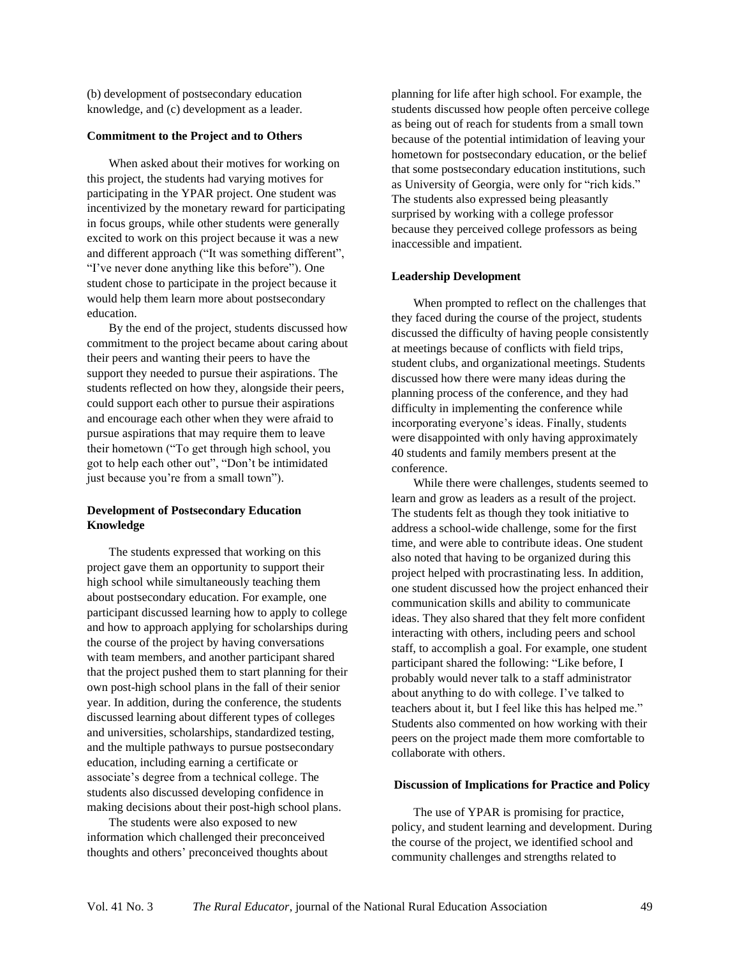(b) development of postsecondary education knowledge, and (c) development as a leader.

#### **Commitment to the Project and to Others**

When asked about their motives for working on this project, the students had varying motives for participating in the YPAR project. One student was incentivized by the monetary reward for participating in focus groups, while other students were generally excited to work on this project because it was a new and different approach ("It was something different", "I've never done anything like this before"). One student chose to participate in the project because it would help them learn more about postsecondary education.

By the end of the project, students discussed how commitment to the project became about caring about their peers and wanting their peers to have the support they needed to pursue their aspirations. The students reflected on how they, alongside their peers, could support each other to pursue their aspirations and encourage each other when they were afraid to pursue aspirations that may require them to leave their hometown ("To get through high school, you got to help each other out", "Don't be intimidated just because you're from a small town").

### **Development of Postsecondary Education Knowledge**

The students expressed that working on this project gave them an opportunity to support their high school while simultaneously teaching them about postsecondary education. For example, one participant discussed learning how to apply to college and how to approach applying for scholarships during the course of the project by having conversations with team members, and another participant shared that the project pushed them to start planning for their own post-high school plans in the fall of their senior year. In addition, during the conference, the students discussed learning about different types of colleges and universities, scholarships, standardized testing, and the multiple pathways to pursue postsecondary education, including earning a certificate or associate's degree from a technical college. The students also discussed developing confidence in making decisions about their post-high school plans.

The students were also exposed to new information which challenged their preconceived thoughts and others' preconceived thoughts about planning for life after high school. For example, the students discussed how people often perceive college as being out of reach for students from a small town because of the potential intimidation of leaving your hometown for postsecondary education, or the belief that some postsecondary education institutions, such as University of Georgia, were only for "rich kids." The students also expressed being pleasantly surprised by working with a college professor because they perceived college professors as being inaccessible and impatient.

#### **Leadership Development**

When prompted to reflect on the challenges that they faced during the course of the project, students discussed the difficulty of having people consistently at meetings because of conflicts with field trips, student clubs, and organizational meetings. Students discussed how there were many ideas during the planning process of the conference, and they had difficulty in implementing the conference while incorporating everyone's ideas. Finally, students were disappointed with only having approximately 40 students and family members present at the conference.

While there were challenges, students seemed to learn and grow as leaders as a result of the project. The students felt as though they took initiative to address a school-wide challenge, some for the first time, and were able to contribute ideas. One student also noted that having to be organized during this project helped with procrastinating less. In addition, one student discussed how the project enhanced their communication skills and ability to communicate ideas. They also shared that they felt more confident interacting with others, including peers and school staff, to accomplish a goal. For example, one student participant shared the following: "Like before, I probably would never talk to a staff administrator about anything to do with college. I've talked to teachers about it, but I feel like this has helped me." Students also commented on how working with their peers on the project made them more comfortable to collaborate with others.

#### **Discussion of Implications for Practice and Policy**

The use of YPAR is promising for practice, policy, and student learning and development. During the course of the project, we identified school and community challenges and strengths related to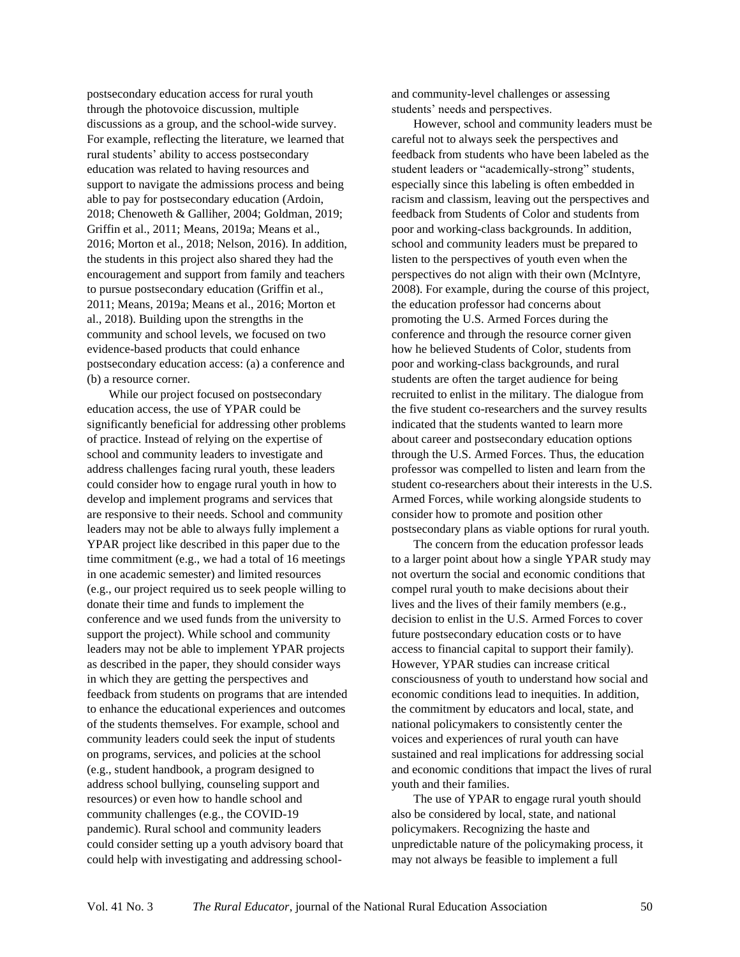postsecondary education access for rural youth through the photovoice discussion, multiple discussions as a group, and the school-wide survey. For example, reflecting the literature, we learned that rural students' ability to access postsecondary education was related to having resources and support to navigate the admissions process and being able to pay for postsecondary education (Ardoin, 2018; Chenoweth & Galliher, 2004; Goldman, 2019; Griffin et al., 2011; Means, 2019a; Means et al., 2016; Morton et al., 2018; Nelson, 2016). In addition, the students in this project also shared they had the encouragement and support from family and teachers to pursue postsecondary education (Griffin et al., 2011; Means, 2019a; Means et al., 2016; Morton et al., 2018). Building upon the strengths in the community and school levels, we focused on two evidence-based products that could enhance postsecondary education access: (a) a conference and (b) a resource corner.

While our project focused on postsecondary education access, the use of YPAR could be significantly beneficial for addressing other problems of practice. Instead of relying on the expertise of school and community leaders to investigate and address challenges facing rural youth, these leaders could consider how to engage rural youth in how to develop and implement programs and services that are responsive to their needs. School and community leaders may not be able to always fully implement a YPAR project like described in this paper due to the time commitment (e.g., we had a total of 16 meetings in one academic semester) and limited resources (e.g., our project required us to seek people willing to donate their time and funds to implement the conference and we used funds from the university to support the project). While school and community leaders may not be able to implement YPAR projects as described in the paper, they should consider ways in which they are getting the perspectives and feedback from students on programs that are intended to enhance the educational experiences and outcomes of the students themselves. For example, school and community leaders could seek the input of students on programs, services, and policies at the school (e.g., student handbook, a program designed to address school bullying, counseling support and resources) or even how to handle school and community challenges (e.g., the COVID-19 pandemic). Rural school and community leaders could consider setting up a youth advisory board that could help with investigating and addressing schooland community-level challenges or assessing students' needs and perspectives.

However, school and community leaders must be careful not to always seek the perspectives and feedback from students who have been labeled as the student leaders or "academically-strong" students, especially since this labeling is often embedded in racism and classism, leaving out the perspectives and feedback from Students of Color and students from poor and working-class backgrounds. In addition, school and community leaders must be prepared to listen to the perspectives of youth even when the perspectives do not align with their own (McIntyre, 2008). For example, during the course of this project, the education professor had concerns about promoting the U.S. Armed Forces during the conference and through the resource corner given how he believed Students of Color, students from poor and working-class backgrounds, and rural students are often the target audience for being recruited to enlist in the military. The dialogue from the five student co-researchers and the survey results indicated that the students wanted to learn more about career and postsecondary education options through the U.S. Armed Forces. Thus, the education professor was compelled to listen and learn from the student co-researchers about their interests in the U.S. Armed Forces, while working alongside students to consider how to promote and position other postsecondary plans as viable options for rural youth.

The concern from the education professor leads to a larger point about how a single YPAR study may not overturn the social and economic conditions that compel rural youth to make decisions about their lives and the lives of their family members (e.g., decision to enlist in the U.S. Armed Forces to cover future postsecondary education costs or to have access to financial capital to support their family). However, YPAR studies can increase critical consciousness of youth to understand how social and economic conditions lead to inequities. In addition, the commitment by educators and local, state, and national policymakers to consistently center the voices and experiences of rural youth can have sustained and real implications for addressing social and economic conditions that impact the lives of rural youth and their families.

The use of YPAR to engage rural youth should also be considered by local, state, and national policymakers. Recognizing the haste and unpredictable nature of the policymaking process, it may not always be feasible to implement a full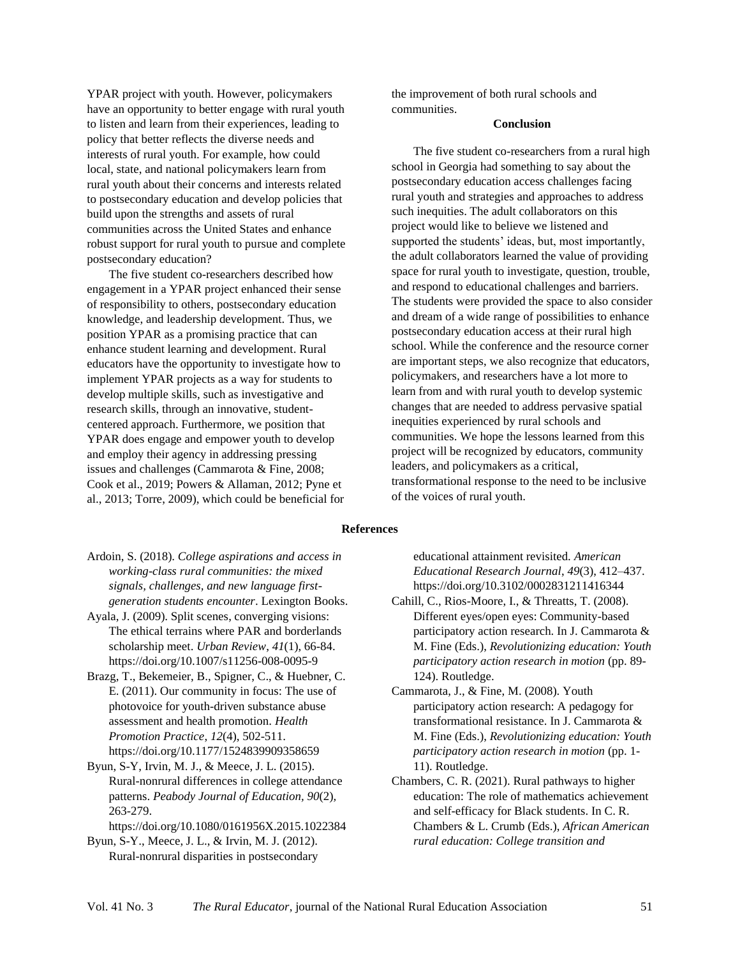YPAR project with youth. However, policymakers have an opportunity to better engage with rural youth to listen and learn from their experiences, leading to policy that better reflects the diverse needs and interests of rural youth. For example, how could local, state, and national policymakers learn from rural youth about their concerns and interests related to postsecondary education and develop policies that build upon the strengths and assets of rural communities across the United States and enhance robust support for rural youth to pursue and complete postsecondary education?

The five student co-researchers described how engagement in a YPAR project enhanced their sense of responsibility to others, postsecondary education knowledge, and leadership development. Thus, we position YPAR as a promising practice that can enhance student learning and development. Rural educators have the opportunity to investigate how to implement YPAR projects as a way for students to develop multiple skills, such as investigative and research skills, through an innovative, studentcentered approach. Furthermore, we position that YPAR does engage and empower youth to develop and employ their agency in addressing pressing issues and challenges (Cammarota & Fine, 2008; Cook et al., 2019; Powers & Allaman, 2012; Pyne et al., 2013; Torre, 2009), which could be beneficial for the improvement of both rural schools and communities.

#### **Conclusion**

The five student co-researchers from a rural high school in Georgia had something to say about the postsecondary education access challenges facing rural youth and strategies and approaches to address such inequities. The adult collaborators on this project would like to believe we listened and supported the students' ideas, but, most importantly, the adult collaborators learned the value of providing space for rural youth to investigate, question, trouble, and respond to educational challenges and barriers. The students were provided the space to also consider and dream of a wide range of possibilities to enhance postsecondary education access at their rural high school. While the conference and the resource corner are important steps, we also recognize that educators, policymakers, and researchers have a lot more to learn from and with rural youth to develop systemic changes that are needed to address pervasive spatial inequities experienced by rural schools and communities. We hope the lessons learned from this project will be recognized by educators, community leaders, and policymakers as a critical, transformational response to the need to be inclusive of the voices of rural youth.

#### **References**

- Ardoin, S. (2018). *College aspirations and access in working-class rural communities: the mixed signals, challenges, and new language firstgeneration students encounter*. Lexington Books.
- Ayala, J. (2009). Split scenes, converging visions: The ethical terrains where PAR and borderlands scholarship meet. *Urban Review*, *41*(1), 66-84. https://doi.org/10.1007/s11256-008-0095-9
- Brazg, T., Bekemeier, B., Spigner, C., & Huebner, C. E. (2011). Our community in focus: The use of photovoice for youth-driven substance abuse assessment and health promotion. *Health Promotion Practice*, *12*(4), 502-511. https://doi.org/10.1177/1524839909358659

Byun, S-Y, Irvin, M. J., & Meece, J. L. (2015). Rural-nonrural differences in college attendance patterns. *Peabody Journal of Education, 90*(2)*,*  263-279.

https://doi.org/10.1080/0161956X.2015.1022384

Byun, S-Y., Meece, J. L., & Irvin, M. J. (2012). Rural-nonrural disparities in postsecondary educational attainment revisited. *American Educational Research Journal*, *49*(3), 412–437. https://doi.org/10.3102/0002831211416344

- Cahill, C., Rios-Moore, I., & Threatts, T. (2008). Different eyes/open eyes: Community-based participatory action research. In J. Cammarota & M. Fine (Eds.), *Revolutionizing education: Youth participatory action research in motion* (pp. 89- 124). Routledge.
- Cammarota, J., & Fine, M. (2008). Youth participatory action research: A pedagogy for transformational resistance. In J. Cammarota & M. Fine (Eds.), *Revolutionizing education: Youth participatory action research in motion* (pp. 1- 11). Routledge.
- Chambers, C. R. (2021). Rural pathways to higher education: The role of mathematics achievement and self-efficacy for Black students. In C. R. Chambers & L. Crumb (Eds.), *African American rural education: College transition and*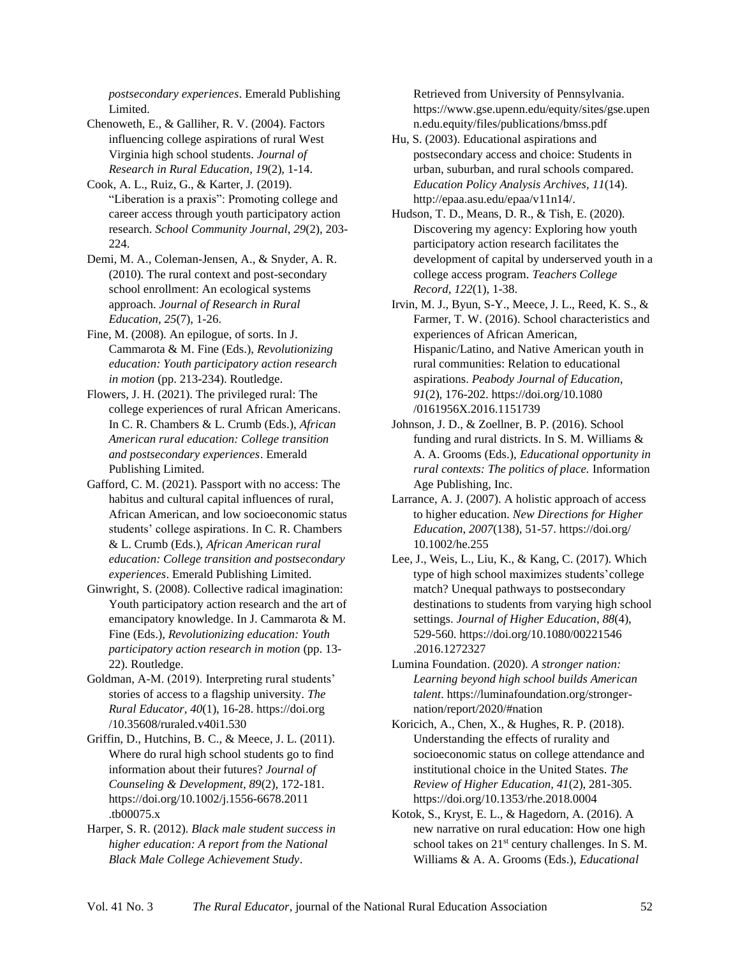*postsecondary experiences*. Emerald Publishing Limited.

Chenoweth, E., & Galliher, R. V. (2004). Factors influencing college aspirations of rural West Virginia high school students. *Journal of Research in Rural Education*, *19*(2), 1-14.

Cook, A. L., Ruiz, G., & Karter, J. (2019). "Liberation is a praxis": Promoting college and career access through youth participatory action research. *School Community Journal*, *29*(2), 203- 224.

Demi, M. A., Coleman-Jensen, A., & Snyder, A. R. (2010). The rural context and post-secondary school enrollment: An ecological systems approach. *Journal of Research in Rural Education, 25*(7), 1-26.

Fine, M. (2008). An epilogue, of sorts. In J. Cammarota & M. Fine (Eds.), *Revolutionizing education: Youth participatory action research in motion* (pp. 213-234). Routledge.

Flowers, J. H. (2021). The privileged rural: The college experiences of rural African Americans. In C. R. Chambers & L. Crumb (Eds.), *African American rural education: College transition and postsecondary experiences*. Emerald Publishing Limited.

Gafford, C. M. (2021). Passport with no access: The habitus and cultural capital influences of rural, African American, and low socioeconomic status students' college aspirations. In C. R. Chambers & L. Crumb (Eds.), *African American rural education: College transition and postsecondary experiences*. Emerald Publishing Limited.

Ginwright, S. (2008). Collective radical imagination: Youth participatory action research and the art of emancipatory knowledge. In J. Cammarota & M. Fine (Eds.), *Revolutionizing education: Youth participatory action research in motion* (pp. 13- 22). Routledge.

Goldman, A-M. (2019). Interpreting rural students' stories of access to a flagship university. *The Rural Educator*, *40*(1), 16-28. [https://doi.org](https://doi.org/) /10.35608/ruraled.v40i1.530

Griffin, D., Hutchins, B. C., & Meece, J. L. (2011). Where do rural high school students go to find information about their futures? *Journal of Counseling & Development, 89*(2), 172-181. <https://doi.org/10.1002/j.1556-6678.2011> .tb00075.x

Harper, S. R. (2012). *Black male student success in higher education: A report from the National Black Male College Achievement Study*.

Retrieved from University of Pennsylvania. https://www.gse.upenn.edu/equity/sites/gse.upen n.edu.equity/files/publications/bmss.pdf

Hu, S. (2003). Educational aspirations and postsecondary access and choice: Students in urban, suburban, and rural schools compared. *Education Policy Analysis Archives, 11*(14). http://epaa.asu.edu/epaa/v11n14/.

Hudson, T. D., Means, D. R., & Tish, E. (2020). Discovering my agency: Exploring how youth participatory action research facilitates the development of capital by underserved youth in a college access program. *Teachers College Record, 122*(1), 1-38.

Irvin, M. J., Byun, S-Y., Meece, J. L., Reed, K. S., & Farmer, T. W. (2016). School characteristics and experiences of African American, Hispanic/Latino, and Native American youth in rural communities: Relation to educational aspirations. *Peabody Journal of Education*, *91*(2), 176-202. <https://doi.org/10.1080> /0161956X.2016.1151739

Johnson, J. D., & Zoellner, B. P. (2016). School funding and rural districts. In S. M. Williams & A. A. Grooms (Eds.), *Educational opportunity in rural contexts: The politics of place.* Information Age Publishing, Inc.

Larrance, A. J. (2007). A holistic approach of access to higher education. *New Directions for Higher Education*, *2007*(138), 51-57. [https://doi.org/](https://doi.org/10.1002/he.255) [10.1002/he.255](https://doi.org/10.1002/he.255)

Lee, J., Weis, L., Liu, K., & Kang, C. (2017). Which type of high school maximizes students'college match? Unequal pathways to postsecondary destinations to students from varying high school settings. *Journal of Higher Education*, *88*(4), 529-560.<https://doi.org/10.1080/00221546> .2016.1272327

Lumina Foundation. (2020). *A stronger nation: Learning beyond high school builds American talent*. https://luminafoundation.org/strongernation/report/2020/#nation

Koricich, A., Chen, X., & Hughes, R. P. (2018). Understanding the effects of rurality and socioeconomic status on college attendance and institutional choice in the United States. *The Review of Higher Education, 41*(2), 281-305. https://doi.org/10.1353/rhe.2018.0004

Kotok, S., Kryst, E. L., & Hagedorn, A. (2016). A new narrative on rural education: How one high school takes on  $21^{st}$  century challenges. In S. M. Williams & A. A. Grooms (Eds.), *Educational*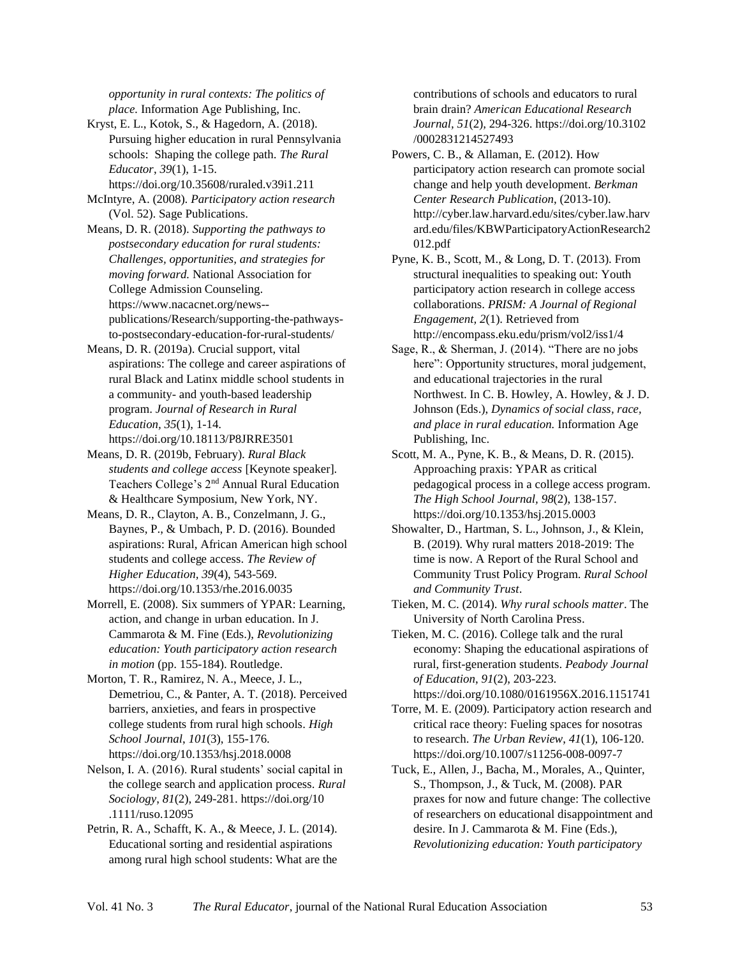*opportunity in rural contexts: The politics of place.* Information Age Publishing, Inc.

Kryst, E. L., Kotok, S., & Hagedorn, A. (2018). Pursuing higher education in rural Pennsylvania schools: Shaping the college path. *The Rural Educator*, *39*(1), 1-15.

https://doi.org/10.35608/ruraled.v39i1.211

McIntyre, A. (2008). *Participatory action research* (Vol. 52). Sage Publications.

Means, D. R. (2018). *Supporting the pathways to postsecondary education for rural students: Challenges, opportunities, and strategies for moving forward.* National Association for College Admission Counseling. https://www.nacacnet.org/news- publications/Research/supporting-the-pathwaysto-postsecondary-education-for-rural-students/

Means, D. R. (2019a). Crucial support, vital aspirations: The college and career aspirations of rural Black and Latinx middle school students in a community- and youth-based leadership program. *Journal of Research in Rural Education, 35*(1), 1-14. https://doi.org/10.18113/P8JRRE3501

Means, D. R. (2019b, February). *Rural Black students and college access* [Keynote speaker]. Teachers College's 2nd Annual Rural Education & Healthcare Symposium, New York, NY.

Means, D. R., Clayton, A. B., Conzelmann, J. G., Baynes, P., & Umbach, P. D. (2016). Bounded aspirations: Rural, African American high school students and college access. *The Review of Higher Education, 39*(4), 543-569. https://doi.org/10.1353/rhe.2016.0035

Morrell, E. (2008). Six summers of YPAR: Learning, action, and change in urban education. In J. Cammarota & M. Fine (Eds.), *Revolutionizing education: Youth participatory action research in motion* (pp. 155-184). Routledge.

Morton, T. R., Ramirez, N. A., Meece, J. L., Demetriou, C., & Panter, A. T. (2018). Perceived barriers, anxieties, and fears in prospective college students from rural high schools. *High School Journal*, *101*(3), 155-176. https://doi.org/10.1353/hsj.2018.0008

Nelson, I. A. (2016). Rural students' social capital in the college search and application process. *Rural Sociology*, *81*(2), 249-281.<https://doi.org/10> .1111/ruso.12095

Petrin, R. A., Schafft, K. A., & Meece, J. L. (2014). Educational sorting and residential aspirations among rural high school students: What are the contributions of schools and educators to rural brain drain? *American Educational Research Journal, 51*(2)*,* 294-326.<https://doi.org/10.3102> /0002831214527493

Powers, C. B., & Allaman, E. (2012). How participatory action research can promote social change and help youth development. *Berkman Center Research Publication*, (2013-10). http://cyber.law.harvard.edu/sites/cyber.law.harv ard.edu/files/KBWParticipatoryActionResearch2 012.pdf

Pyne, K. B., Scott, M., & Long, D. T. (2013). From structural inequalities to speaking out: Youth participatory action research in college access collaborations. *PRISM: A Journal of Regional Engagement, 2*(1). Retrieved from http://encompass.eku.edu/prism/vol2/iss1/4

Sage, R., & Sherman, J. (2014). "There are no jobs here": Opportunity structures, moral judgement, and educational trajectories in the rural Northwest. In C. B. Howley, A. Howley, & J. D. Johnson (Eds.), *Dynamics of social class, race, and place in rural education.* Information Age Publishing, Inc.

Scott, M. A., Pyne, K. B., & Means, D. R. (2015). Approaching praxis: YPAR as critical pedagogical process in a college access program. *The High School Journal, 98*(2), 138-157. https://doi.org/10.1353/hsj.2015.0003

Showalter, D., Hartman, S. L., Johnson, J., & Klein, B. (2019). Why rural matters 2018-2019: The time is now. A Report of the Rural School and Community Trust Policy Program. *Rural School and Community Trust*.

Tieken, M. C. (2014). *Why rural schools matter*. The University of North Carolina Press.

Tieken, M. C. (2016). College talk and the rural economy: Shaping the educational aspirations of rural, first-generation students. *Peabody Journal of Education*, *91*(2), 203-223.

https://doi.org/10.1080/0161956X.2016.1151741 Torre, M. E. (2009). Participatory action research and critical race theory: Fueling spaces for nosotras to research. *The Urban Review*, *41*(1), 106-120. https://doi.org/10.1007/s11256-008-0097-7

Tuck, E., Allen, J., Bacha, M., Morales, A., Quinter, S., Thompson, J., & Tuck, M. (2008). PAR praxes for now and future change: The collective of researchers on educational disappointment and desire. In J. Cammarota & M. Fine (Eds.), *Revolutionizing education: Youth participatory*